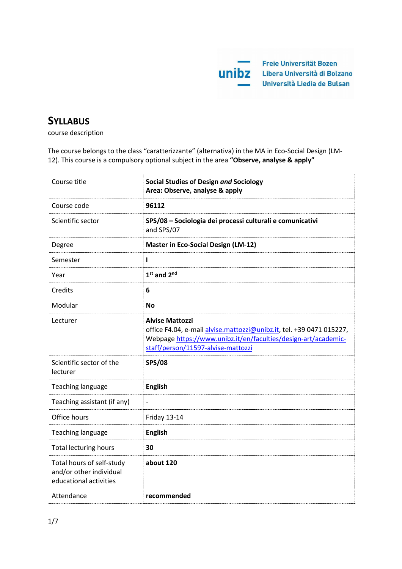

# **SYLLABUS**

course description

The course belongs to the class "caratterizzante" (alternativa) in the MA in Eco-Social Design (LM-12). This course is a compulsory optional subject in the area **"Observe, analyse & apply"** 

| Course title                                                                   | <b>Social Studies of Design and Sociology</b><br>Area: Observe, analyse & apply                                                                                                                        |
|--------------------------------------------------------------------------------|--------------------------------------------------------------------------------------------------------------------------------------------------------------------------------------------------------|
| Course code                                                                    | 96112                                                                                                                                                                                                  |
| Scientific sector                                                              | SPS/08 - Sociologia dei processi culturali e comunicativi<br>and SPS/07                                                                                                                                |
| Degree                                                                         | <b>Master in Eco-Social Design (LM-12)</b>                                                                                                                                                             |
| Semester                                                                       | ı                                                                                                                                                                                                      |
| Year                                                                           | $1st$ and $2nd$                                                                                                                                                                                        |
| Credits                                                                        | 6                                                                                                                                                                                                      |
| Modular                                                                        | <b>No</b>                                                                                                                                                                                              |
| Lecturer                                                                       | <b>Alvise Mattozzi</b><br>office F4.04, e-mail alvise.mattozzi@unibz.it, tel. +39 0471 015227,<br>Webpage https://www.unibz.it/en/faculties/design-art/academic-<br>staff/person/11597-alvise-mattozzi |
| Scientific sector of the<br>lecturer                                           | <b>SPS/08</b>                                                                                                                                                                                          |
| Teaching language                                                              | <b>English</b>                                                                                                                                                                                         |
| Teaching assistant (if any)                                                    |                                                                                                                                                                                                        |
| Office hours                                                                   | Friday 13-14                                                                                                                                                                                           |
| <b>Teaching language</b>                                                       | <b>English</b>                                                                                                                                                                                         |
| <b>Total lecturing hours</b>                                                   | 30                                                                                                                                                                                                     |
| Total hours of self-study<br>and/or other individual<br>educational activities | about 120                                                                                                                                                                                              |
| Attendance                                                                     | recommended                                                                                                                                                                                            |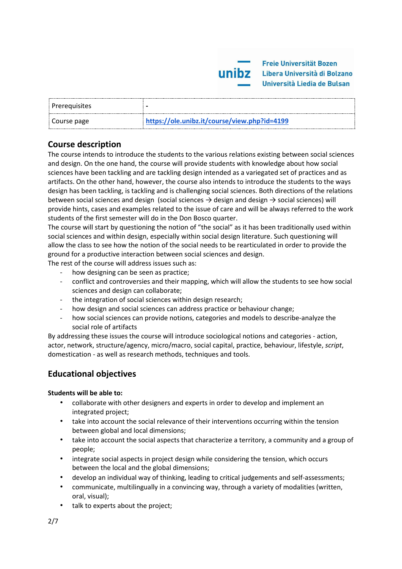

| <b>Prerequisites</b> |                                              |
|----------------------|----------------------------------------------|
| Course page          | https://ole.unibz.it/course/view.php?id=4199 |

# **Course description**

The course intends to introduce the students to the various relations existing between social sciences and design. On the one hand, the course will provide students with knowledge about how social sciences have been tackling and are tackling design intended as a variegated set of practices and as artifacts. On the other hand, however, the course also intends to introduce the students to the ways design has been tackling, is tackling and is challenging social sciences. Both directions of the relations between social sciences and design (social sciences  $\rightarrow$  design and design  $\rightarrow$  social sciences) will provide hints, cases and examples related to the issue of care and will be always referred to the work students of the first semester will do in the Don Bosco quarter.

The course will start by questioning the notion of "the social" as it has been traditionally used within social sciences and within design, especially within social design literature. Such questioning will allow the class to see how the notion of the social needs to be rearticulated in order to provide the ground for a productive interaction between social sciences and design.

The rest of the course will address issues such as:

- how designing can be seen as practice;
- conflict and controversies and their mapping, which will allow the students to see how social sciences and design can collaborate;
- the integration of social sciences within design research;
- how design and social sciences can address practice or behaviour change;
- how social sciences can provide notions, categories and models to describe-analyze the social role of artifacts

By addressing these issues the course will introduce sociological notions and categories - action, actor, network, structure/agency, micro/macro, social capital, practice, behaviour, lifestyle, *script*, domestication - as well as research methods, techniques and tools.

# **Educational objectives**

## **Students will be able to:**

- collaborate with other designers and experts in order to develop and implement an integrated project;
- take into account the social relevance of their interventions occurring within the tension between global and local dimensions;
- take into account the social aspects that characterize a territory, a community and a group of people;
- integrate social aspects in project design while considering the tension, which occurs between the local and the global dimensions;
- develop an individual way of thinking, leading to critical judgements and self-assessments;
- communicate, multilingually in a convincing way, through a variety of modalities (written, oral, visual);
- talk to experts about the project;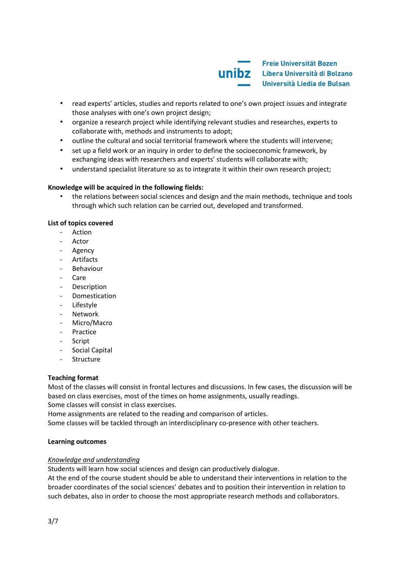

- read experts' articles, studies and reports related to one's own project issues and integrate those analyses with one's own project design;
- organize a research project while identifying relevant studies and researches, experts to collaborate with, methods and instruments to adopt;
- outline the cultural and social territorial framework where the students will intervene;
- set up a field work or an inquiry in order to define the socioeconomic framework, by exchanging ideas with researchers and experts' students will collaborate with;
- understand specialist literature so as to integrate it within their own research project;

#### **Knowledge will be acquired in the following fields:**

• the relations between social sciences and design and the main methods, technique and tools through which such relation can be carried out, developed and transformed.

#### **List of topics covered**

- Action
- Actor
- Agency
- Artifacts
- **Behaviour**
- Care
- Description
- **Domestication**
- Lifestyle
- **Network**
- Micro/Macro
- Practice
- **Script**
- Social Capital
- Structure

#### **Teaching format**

Most of the classes will consist in frontal lectures and discussions. In few cases, the discussion will be based on class exercises, most of the times on home assignments, usually readings. Some classes will consist in class exercises.

Home assignments are related to the reading and comparison of articles.

Some classes will be tackled through an interdisciplinary co-presence with other teachers.

#### **Learning outcomes**

#### *Knowledge and understanding*

Students will learn how social sciences and design can productively dialogue.

At the end of the course student should be able to understand their interventions in relation to the broader coordinates of the social sciences' debates and to position their intervention in relation to such debates, also in order to choose the most appropriate research methods and collaborators.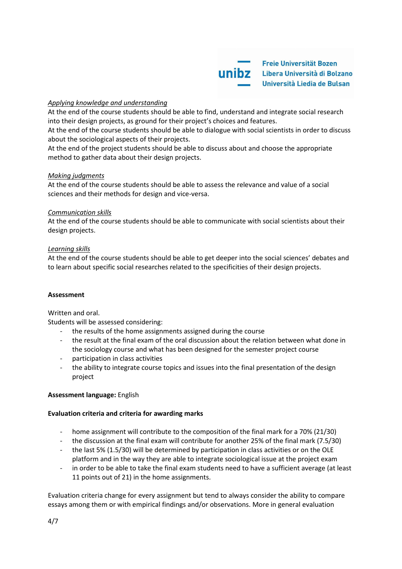**Freie Universität Bozen Unibz** Libera Università di Bolzano Università Liedia de Bulsan

# *Applying knowledge and understanding*

At the end of the course students should be able to find, understand and integrate social research into their design projects, as ground for their project's choices and features.

At the end of the course students should be able to dialogue with social scientists in order to discuss about the sociological aspects of their projects.

At the end of the project students should be able to discuss about and choose the appropriate method to gather data about their design projects.

## *Making judgments*

At the end of the course students should be able to assess the relevance and value of a social sciences and their methods for design and vice-versa.

## *Communication skills*

At the end of the course students should be able to communicate with social scientists about their design projects.

## *Learning skills*

At the end of the course students should be able to get deeper into the social sciences' debates and to learn about specific social researches related to the specificities of their design projects.

## **Assessment**

## Written and oral.

Students will be assessed considering:

- the results of the home assignments assigned during the course
- the result at the final exam of the oral discussion about the relation between what done in the sociology course and what has been designed for the semester project course
- participation in class activities
- the ability to integrate course topics and issues into the final presentation of the design project

## **Assessment language:** English

## **Evaluation criteria and criteria for awarding marks**

- home assignment will contribute to the composition of the final mark for a 70% (21/30)
- the discussion at the final exam will contribute for another 25% of the final mark (7.5/30)
- the last 5% (1.5/30) will be determined by participation in class activities or on the OLE platform and in the way they are able to integrate sociological issue at the project exam
- in order to be able to take the final exam students need to have a sufficient average (at least 11 points out of 21) in the home assignments.

Evaluation criteria change for every assignment but tend to always consider the ability to compare essays among them or with empirical findings and/or observations. More in general evaluation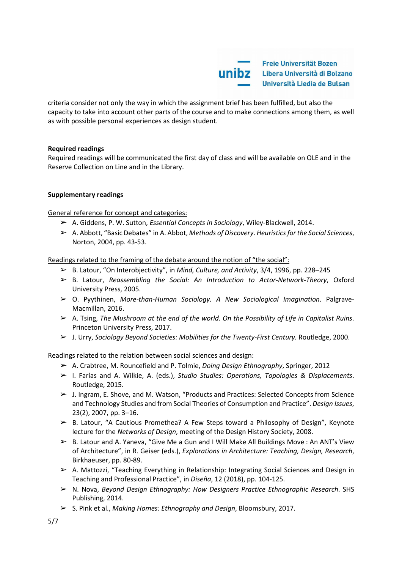

criteria consider not only the way in which the assignment brief has been fulfilled, but also the capacity to take into account other parts of the course and to make connections among them, as well as with possible personal experiences as design student.

## **Required readings**

Required readings will be communicated the first day of class and will be available on OLE and in the Reserve Collection on Line and in the Library.

# **Supplementary readings**

General reference for concept and categories:

- ➢ A. Giddens, P. W. Sutton, *Essential Concepts in Sociology*, Wiley-Blackwell, 2014.
- ➢ A. Abbott, "Basic Debates" in A. Abbot, *Methods of Discovery*. *Heuristics for the Social Sciences*, Norton, 2004, pp. 43-53.

Readings related to the framing of the debate around the notion of "the social":

- ➢ B. Latour, "On Interobjectivity", in *Mind, Culture, and Activity*, 3/4, 1996, pp. 228–245
- ➢ B. Latour, *Reassembling the Social: An Introduction to Actor-Network-Theory*, Oxford University Press, 2005.
- ➢ O. Pyythinen, *More-than-Human Sociology. A New Sociological Imagination*. Palgrave-Macmillan, 2016.
- ➢ A. Tsing, *The Mushroom at the end of the world. On the Possibility of Life in Capitalist Ruins*. Princeton University Press, 2017.
- ➢ J. Urry, *Sociology Beyond Societies: Mobilities for the Twenty-First Century.* Routledge, 2000.

Readings related to the relation between social sciences and design:

- ➢ A. Crabtree, M. Rouncefield and P. Tolmie, *Doing Design Ethnography*, Springer, 2012
- ➢ I. Farías and A. Wilkie, A. (eds.), *Studio Studies: Operations, Topologies & Displacements*. Routledge, 2015.
- ➢ J. Ingram, E. Shove, and M. Watson, "Products and Practices: Selected Concepts from Science and Technology Studies and from Social Theories of Consumption and Practice". *Design Issues*, 23(2), 2007, pp. 3–16.
- $\triangleright$  B. Latour, "A Cautious Promethea? A Few Steps toward a Philosophy of Design", Keynote lecture for the *Networks of Design*, meeting of the Design History Society, 2008.
- ➢ B. Latour and A. Yaneva, "Give Me a Gun and I Will Make All Buildings Move : An ANT's View of Architecture", in R. Geiser (eds.), *Explorations in Architecture: Teaching, Design, Research*, Birkhaeuser, pp. 80-89.
- $\triangleright$  A. Mattozzi, "Teaching Everything in Relationship: Integrating Social Sciences and Design in Teaching and Professional Practice", in *Diseña*, 12 (2018), pp. 104-125.
- ➢ N. Nova, *Beyond Design Ethnography: How Designers Practice Ethnographic Research*. SHS Publishing, 2014.
- ➢ S. Pink et al., *Making Homes: Ethnography and Design*, Bloomsbury, 2017.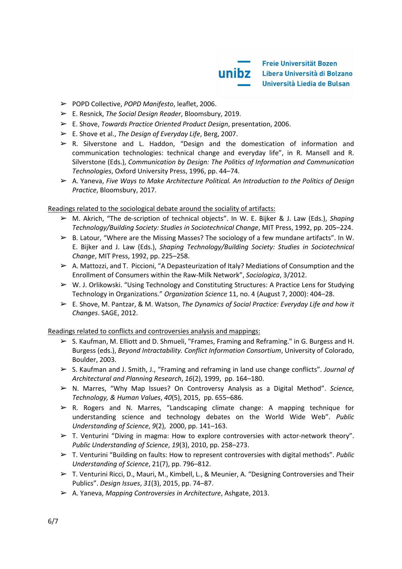**Freie Universität Bozen UNIDZ** Libera Università di Bolzano Università Liedia de Bulsan

- ➢ POPD Collective, *POPD Manifesto*, leaflet, 2006.
- ➢ E. Resnick, *The Social Design Reader*, Bloomsbury, 2019.
- ➢ E. Shove, *Towards Practice Oriented Product Design*, presentation, 2006.
- ➢ E. Shove et al., *The Design of Everyday Life*, Berg, 2007.
- ➢ R. Silverstone and L. Haddon, "Design and the domestication of information and communication technologies: technical change and everyday life", in R. Mansell and R. Silverstone (Eds.), *Communication by Design: The Politics of Information and Communication Technologies*, Oxford University Press, 1996, pp. 44–74.
- ➢ A. Yaneva, *Five Ways to Make Architecture Political. An Introduction to the Politics of Design Practice*, Bloomsbury, 2017.

Readings related to the sociological debate around the sociality of artifacts:

- ➢ M. Akrich, "The de-scription of technical objects". In W. E. Bijker & J. Law (Eds.), *Shaping Technology/Building Society: Studies in Sociotechnical Change*, MIT Press, 1992, pp. 205–224.
- $\triangleright$  B. Latour, "Where are the Missing Masses? The sociology of a few mundane artifacts". In W. E. Bijker and J. Law (Eds.), *Shaping Technology/Building Society: Studies in Sociotechnical Change*, MIT Press, 1992, pp. 225–258.
- $\triangleright$  A. Mattozzi, and T. Piccioni, "A Depasteurization of Italy? Mediations of Consumption and the Enrollment of Consumers within the Raw-Milk Network", *Sociologica*, 3/2012.
- ➢ W. J. Orlikowski. "Using Technology and Constituting Structures: A Practice Lens for Studying Technology in Organizations." *Organization Science* 11, no. 4 (August 7, 2000): 404–28.
- ➢ E. Shove, M. Pantzar, & M. Watson, *The Dynamics of Social Practice: Everyday Life and how it Changes*. SAGE, 2012.

Readings related to conflicts and controversies analysis and mappings:

- ➢ S. Kaufman, M. Elliott and D. Shmueli, "Frames, Framing and Reframing." in G. Burgess and H. Burgess (eds.), *Beyond Intractability. Conflict Information Consortium*, University of Colorado, Boulder, 2003.
- ➢ S. Kaufman and J. Smith, J., "Framing and reframing in land use change conflicts". *Journal of Architectural and Planning Research*, *16*(2), 1999, pp. 164–180.
- ➢ N. Marres, "Why Map Issues? On Controversy Analysis as a Digital Method". *Science, Technology, & Human Values*, *40*(5), 2015, pp. 655–686[.](https://doi.org/10.1177/0162243915574602)
- $\triangleright$  R. Rogers and N. Marres, "Landscaping climate change: A mapping technique for understanding science and technology debates on the World Wide Web". *Public Understanding of Science*, *9*(2), 2000, pp. 141–16[3.](https://doi.org/10.1088/0963-6625/9/2/304)
- ➢ T. Venturini "Diving in magma: How to explore controversies with actor-network theory". *Public Understanding of Science*, *19*(3), 2010, pp. 258–273[.](https://doi.org/10.1177/0963662509102694)
- ➢ T. Venturini "Building on faults: How to represent controversies with digital methods". *Public Understanding of Science*, 21(7), pp. 796–812.
- $\triangleright$  T. Venturini Ricci, D., Mauri, M., Kimbell, L., & Meunier, A. "Designing Controversies and Their Publics". *Design Issues*, *31*(3), 2015, pp. 74–87.
- ➢ A. Yaneva, *Mapping Controversies in Architecture*, Ashgate, 2013.